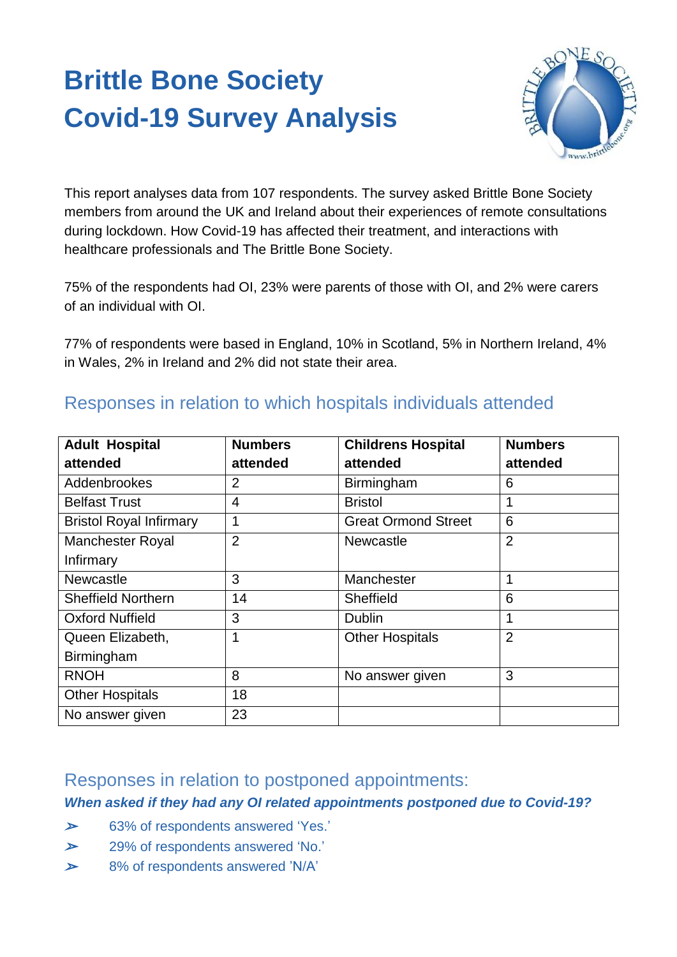# **Brittle Bone Society Covid-19 Survey Analysis**



This report analyses data from 107 respondents. The survey asked Brittle Bone Society members from around the UK and Ireland about their experiences of remote consultations during lockdown. How Covid-19 has affected their treatment, and interactions with healthcare professionals and The Brittle Bone Society.

75% of the respondents had OI, 23% were parents of those with OI, and 2% were carers of an individual with OI.

77% of respondents were based in England, 10% in Scotland, 5% in Northern Ireland, 4% in Wales, 2% in Ireland and 2% did not state their area.

| <b>Adult Hospital</b>          | <b>Numbers</b> | <b>Childrens Hospital</b>  | <b>Numbers</b> |
|--------------------------------|----------------|----------------------------|----------------|
| attended                       | attended       | attended                   | attended       |
| Addenbrookes                   | 2              | Birmingham                 | 6              |
| <b>Belfast Trust</b>           | 4              | <b>Bristol</b>             | 1              |
| <b>Bristol Royal Infirmary</b> | 1              | <b>Great Ormond Street</b> | 6              |
| <b>Manchester Royal</b>        | $\overline{2}$ | <b>Newcastle</b>           | $\overline{2}$ |
| Infirmary                      |                |                            |                |
| <b>Newcastle</b>               | 3              | Manchester                 | 1              |
| <b>Sheffield Northern</b>      | 14             | Sheffield                  | 6              |
| <b>Oxford Nuffield</b>         | 3              | <b>Dublin</b>              | 1              |
| Queen Elizabeth,               | 1              | <b>Other Hospitals</b>     | $\overline{2}$ |
| Birmingham                     |                |                            |                |
| <b>RNOH</b>                    | 8              | No answer given            | 3              |
| <b>Other Hospitals</b>         | 18             |                            |                |
| No answer given                | 23             |                            |                |

# Responses in relation to which hospitals individuals attended

# Responses in relation to postponed appointments:

# *When asked if they had any OI related appointments postponed due to Covid-19?*

- ➢63% of respondents answered 'Yes.'
- ➢29% of respondents answered 'No.'
- ➢8% of respondents answered 'N/A'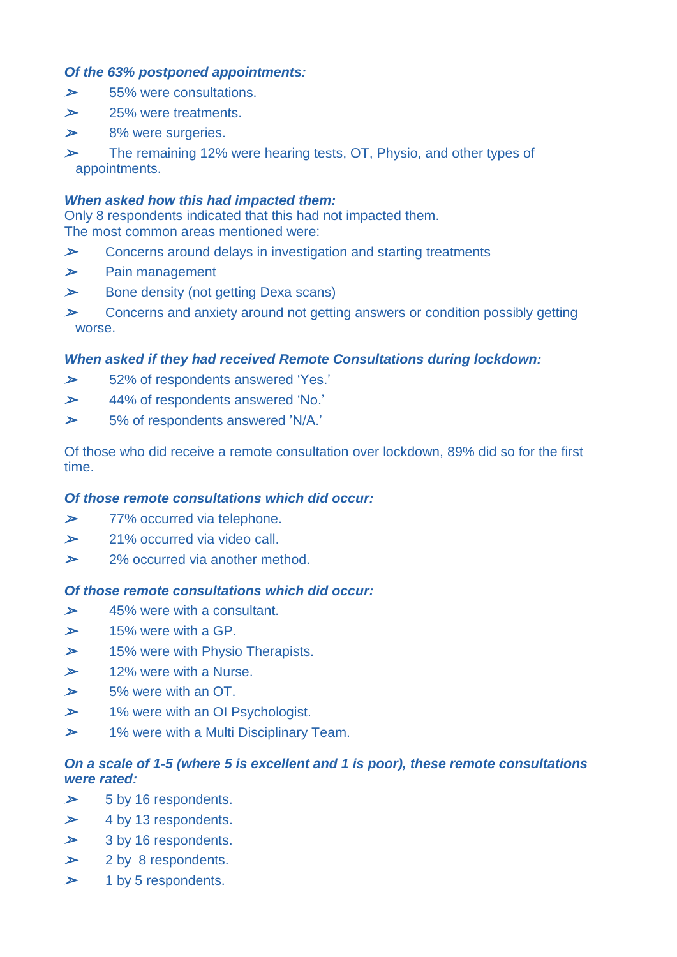### *Of the 63% postponed appointments:*

- ➢55% were consultations.
- ➢25% were treatments.
- ➢8% were surgeries.
- ➢ The remaining 12% were hearing tests, OT, Physio, and other types of appointments.

#### *When asked how this had impacted them:*

Only 8 respondents indicated that this had not impacted them. The most common areas mentioned were:

- ➢Concerns around delays in investigation and starting treatments
- ➢Pain management
- ➢Bone density (not getting Dexa scans)
- ➢ Concerns and anxiety around not getting answers or condition possibly getting worse.

#### *When asked if they had received Remote Consultations during lockdown:*

- ➢52% of respondents answered 'Yes.'
- ➢44% of respondents answered 'No.'
- ➢5% of respondents answered 'N/A.'

Of those who did receive a remote consultation over lockdown, 89% did so for the first time.

#### *Of those remote consultations which did occur:*

- ➢77% occurred via telephone.
- ➢21% occurred via video call.
- ➢2% occurred via another method.

#### *Of those remote consultations which did occur:*

- ➢45% were with a consultant.
- ➢15% were with a GP.
- ➢15% were with Physio Therapists.
- ➢12% were with a Nurse.
- ➢5% were with an OT.
- ➢1% were with an OI Psychologist.
- ➢1% were with a Multi Disciplinary Team.

### *On a scale of 1-5 (where 5 is excellent and 1 is poor), these remote consultations were rated:*

- ➢5 by 16 respondents.
- ➢4 by 13 respondents.
- ➢3 by 16 respondents.
- ➢2 by 8 respondents.
- ➢1 by 5 respondents.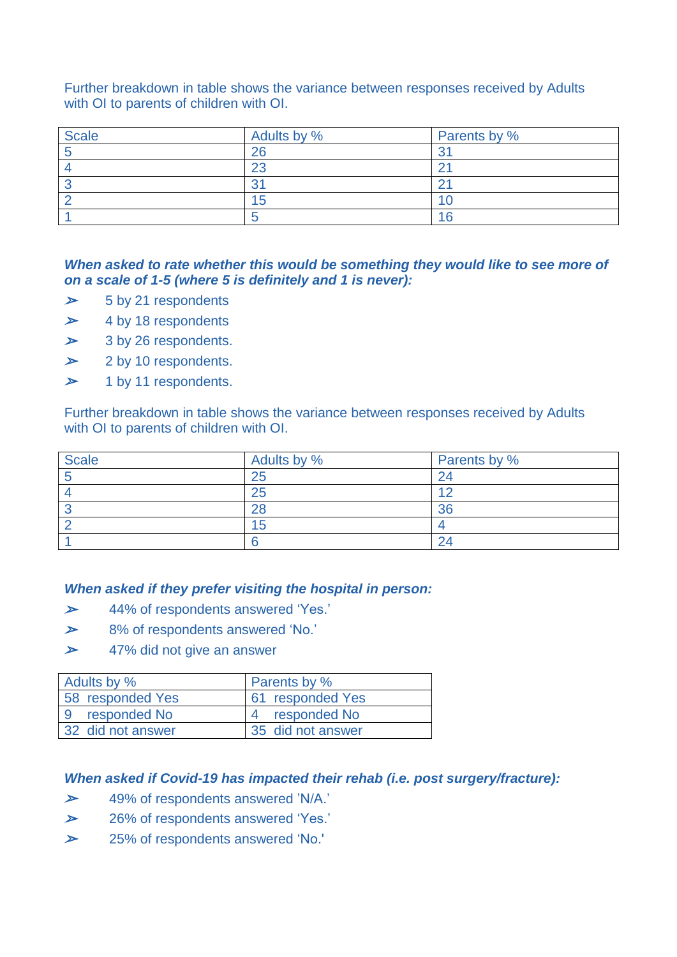Further breakdown in table shows the variance between responses received by Adults with OI to parents of children with OI.

| <b>Scale</b> | Adults by % | Parents by % |
|--------------|-------------|--------------|
|              | 26          |              |
|              | 23          |              |
|              | n.          |              |
|              | Ð           |              |
|              |             | ြ            |

#### *When asked to rate whether this would be something they would like to see more of on a scale of 1-5 (where 5 is definitely and 1 is never):*

- ➢5 by 21 respondents
- ➢4 by 18 respondents
- ➢3 by 26 respondents.
- ➢2 by 10 respondents.
- ➢1 by 11 respondents.

Further breakdown in table shows the variance between responses received by Adults with OI to parents of children with OI.

| <b>Scale</b> | Adults by % | Parents by % |
|--------------|-------------|--------------|
|              | 25          |              |
|              | 25          | 1 C          |
|              | ററ          | nn.          |
|              | b           |              |
|              |             |              |

#### *When asked if they prefer visiting the hospital in person:*

- ➢44% of respondents answered 'Yes.'
- ➢8% of respondents answered 'No.'
- ➢47% did not give an answer

| Adults by %       | <b>Parents by %</b> |
|-------------------|---------------------|
| 58 responded Yes  | 61 responded Yes    |
| 9 responded No    | 4 responded No      |
| 32 did not answer | 35 did not answer   |

#### *When asked if Covid-19 has impacted their rehab (i.e. post surgery/fracture):*

- ➢49% of respondents answered 'N/A.'
- ➢26% of respondents answered 'Yes.'
- ➢25% of respondents answered 'No.'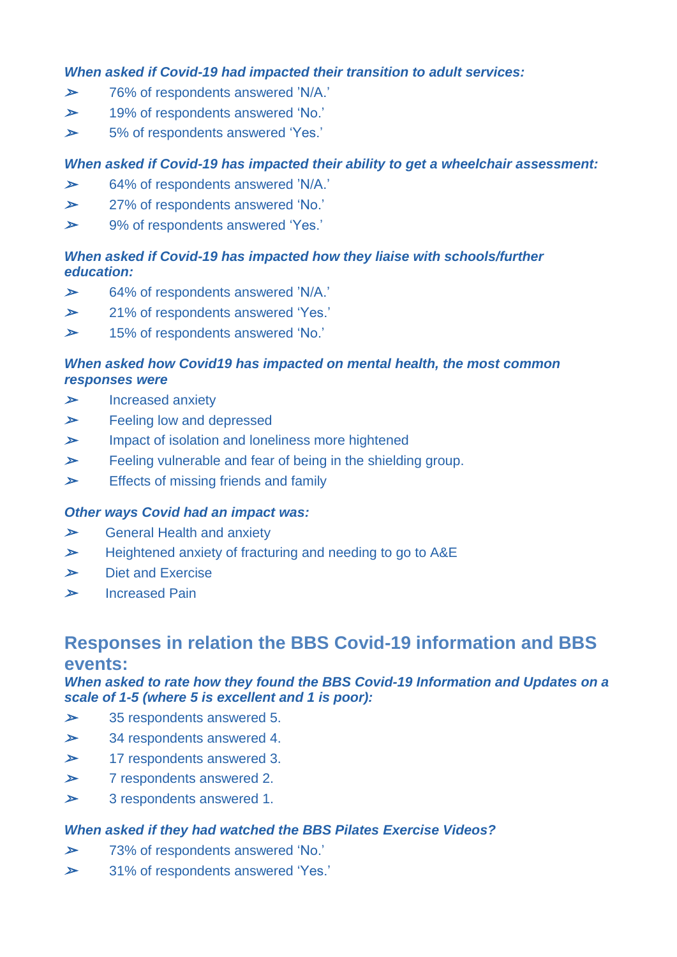#### *When asked if Covid-19 had impacted their transition to adult services:*

- ➢76% of respondents answered 'N/A.'
- ➢19% of respondents answered 'No.'
- ➢5% of respondents answered 'Yes.'

## *When asked if Covid-19 has impacted their ability to get a wheelchair assessment:*

- ➢64% of respondents answered 'N/A.'
- ➢27% of respondents answered 'No.'
- ➢9% of respondents answered 'Yes.'

## *When asked if Covid-19 has impacted how they liaise with schools/further education:*

- ➢64% of respondents answered 'N/A.'
- ➢21% of respondents answered 'Yes.'
- ➢15% of respondents answered 'No.'

### *When asked how Covid19 has impacted on mental health, the most common responses were*

- ➢Increased anxiety
- ➢Feeling low and depressed
- ➢Impact of isolation and loneliness more hightened
- ➢Feeling vulnerable and fear of being in the shielding group.
- ➢Effects of missing friends and family

#### *Other ways Covid had an impact was:*

- ➢General Health and anxiety
- ➢Heightened anxiety of fracturing and needing to go to A&E
- ➢Diet and Exercise
- ➢Increased Pain

# **Responses in relation the BBS Covid-19 information and BBS events:**

### *When asked to rate how they found the BBS Covid-19 Information and Updates on a scale of 1-5 (where 5 is excellent and 1 is poor):*

- ➢35 respondents answered 5.
- ➢34 respondents answered 4.
- ➢17 respondents answered 3.
- ➢7 respondents answered 2.
- ➢3 respondents answered 1.

## *When asked if they had watched the BBS Pilates Exercise Videos?*

- ➢73% of respondents answered 'No.'
- ➢31% of respondents answered 'Yes.'